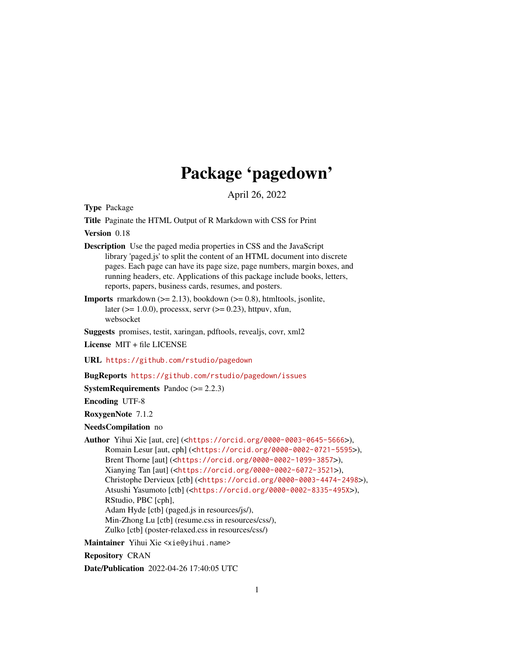# Package 'pagedown'

April 26, 2022

<span id="page-0-0"></span>Type Package

Title Paginate the HTML Output of R Markdown with CSS for Print

Version 0.18

- Description Use the paged media properties in CSS and the JavaScript library 'paged.js' to split the content of an HTML document into discrete pages. Each page can have its page size, page numbers, margin boxes, and running headers, etc. Applications of this package include books, letters, reports, papers, business cards, resumes, and posters.
- **Imports** rmarkdown  $(>= 2.13)$ , bookdown  $(>= 0.8)$ , htmltools, jsonlite, later ( $> = 1.0.0$ ), processx, servr ( $> = 0.23$ ), httpuv, xfun, websocket

Suggests promises, testit, xaringan, pdftools, revealjs, covr, xml2

License MIT + file LICENSE

URL <https://github.com/rstudio/pagedown>

BugReports <https://github.com/rstudio/pagedown/issues>

**SystemRequirements** Pandoc  $(>= 2.2.3)$ 

Encoding UTF-8

RoxygenNote 7.1.2

NeedsCompilation no

Author Yihui Xie [aut, cre] (<<https://orcid.org/0000-0003-0645-5666>>), Romain Lesur [aut, cph] (<<https://orcid.org/0000-0002-0721-5595>>), Brent Thorne [aut] (<<https://orcid.org/0000-0002-1099-3857>>), Xianying Tan [aut] (<<https://orcid.org/0000-0002-6072-3521>>), Christophe Dervieux [ctb] (<<https://orcid.org/0000-0003-4474-2498>>), Atsushi Yasumoto [ctb] (<<https://orcid.org/0000-0002-8335-495X>>), RStudio, PBC [cph], Adam Hyde [ctb] (paged.js in resources/js/), Min-Zhong Lu [ctb] (resume.css in resources/css/), Zulko [ctb] (poster-relaxed.css in resources/css/)

Maintainer Yihui Xie <xie@yihui.name>

Repository CRAN

Date/Publication 2022-04-26 17:40:05 UTC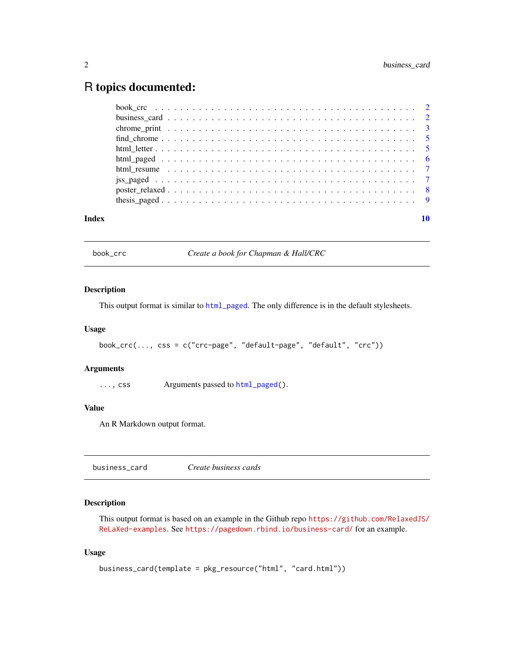# <span id="page-1-0"></span>R topics documented:

| Index |  |
|-------|--|

book\_crc *Create a book for Chapman & Hall/CRC*

# Description

This output format is similar to [html\\_paged](#page-5-1). The only difference is in the default stylesheets.

# Usage

```
book_crc(..., css = c("crc-page", "default-page", "default", "crc"))
```
# Arguments

..., css Arguments passed to [html\\_paged\(](#page-5-1)).

# Value

An R Markdown output format.

| business_card | Create business cards |  |
|---------------|-----------------------|--|
|---------------|-----------------------|--|

# Description

This output format is based on an example in the Github repo [https://github.com/RelaxedJS/](https://github.com/RelaxedJS/ReLaXed-examples) [ReLaXed-examples](https://github.com/RelaxedJS/ReLaXed-examples). See <https://pagedown.rbind.io/business-card/> for an example.

#### Usage

```
business_card(template = pkg_resource("html", "card.html"))
```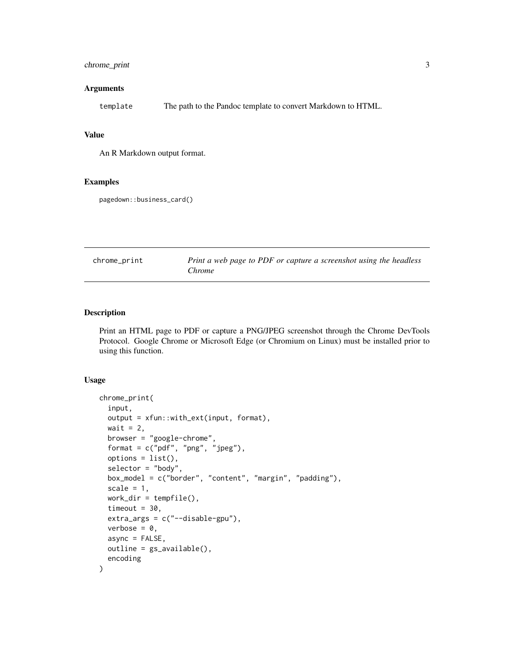# <span id="page-2-0"></span>chrome\_print 3

#### Arguments

template The path to the Pandoc template to convert Markdown to HTML.

#### Value

An R Markdown output format.

#### Examples

pagedown::business\_card()

chrome\_print *Print a web page to PDF or capture a screenshot using the headless Chrome*

#### Description

Print an HTML page to PDF or capture a PNG/JPEG screenshot through the Chrome DevTools Protocol. Google Chrome or Microsoft Edge (or Chromium on Linux) must be installed prior to using this function.

# Usage

```
chrome_print(
  input,
  output = xfun::with_ext(input, format),
  wait = 2,
 browser = "google-chrome",
  format = c("pdf", "png", "jpeg"),
  options = list(),
  selector = "body",
  box_model = c("border", "content", "margin", "padding"),
  scale = 1,
  work\_dir = tempfile(),timeout = 30,
  extra_{args} = c("--disable-gpu"),
  verbose = 0,
  async = FALSE,
  outline = gs_available(),
  encoding
)
```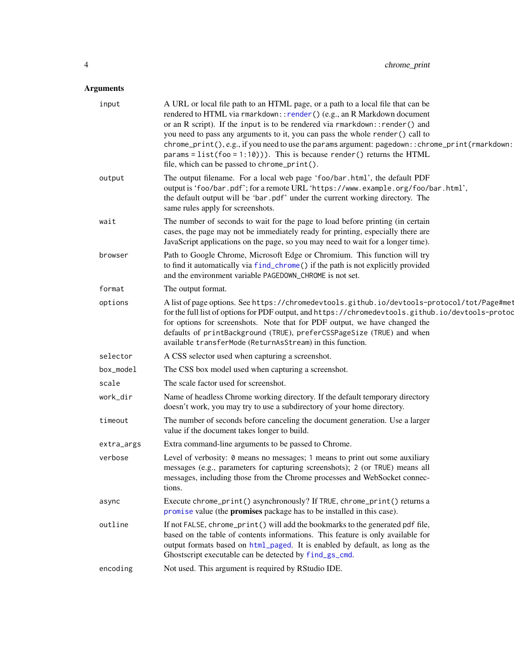# <span id="page-3-0"></span>Arguments

| input      | A URL or local file path to an HTML page, or a path to a local file that can be<br>rendered to HTML via rmarkdown::render() (e.g., an R Markdown document<br>or an R script). If the input is to be rendered via rmarkdown:: render() and<br>you need to pass any arguments to it, you can pass the whole render() call to<br>chrome_print(), e.g., if you need to use the params argument: pagedown:: chrome_print(rmarkdown:<br>params = $list(foo = 1:10))$ . This is because render() returns the HTML<br>file, which can be passed to chrome_print(). |
|------------|------------------------------------------------------------------------------------------------------------------------------------------------------------------------------------------------------------------------------------------------------------------------------------------------------------------------------------------------------------------------------------------------------------------------------------------------------------------------------------------------------------------------------------------------------------|
| output     | The output filename. For a local web page 'foo/bar.html', the default PDF<br>output is 'foo/bar.pdf'; for a remote URL 'https://www.example.org/foo/bar.html',<br>the default output will be 'bar.pdf' under the current working directory. The<br>same rules apply for screenshots.                                                                                                                                                                                                                                                                       |
| wait       | The number of seconds to wait for the page to load before printing (in certain<br>cases, the page may not be immediately ready for printing, especially there are<br>JavaScript applications on the page, so you may need to wait for a longer time).                                                                                                                                                                                                                                                                                                      |
| browser    | Path to Google Chrome, Microsoft Edge or Chromium. This function will try<br>to find it automatically via find_chrome() if the path is not explicitly provided<br>and the environment variable PAGEDOWN_CHROME is not set.                                                                                                                                                                                                                                                                                                                                 |
| format     | The output format.                                                                                                                                                                                                                                                                                                                                                                                                                                                                                                                                         |
| options    | A list of page options. See https://chromedevtools.github.io/devtools-protocol/tot/Page#met<br>for the full list of options for PDF output, and https://chromedevtools.github.io/devtools-protoc<br>for options for screenshots. Note that for PDF output, we have changed the<br>defaults of printBackground (TRUE), preferCSSPageSize (TRUE) and when<br>available transferMode (ReturnAsStream) in this function.                                                                                                                                       |
| selector   | A CSS selector used when capturing a screenshot.                                                                                                                                                                                                                                                                                                                                                                                                                                                                                                           |
| box_model  | The CSS box model used when capturing a screenshot.                                                                                                                                                                                                                                                                                                                                                                                                                                                                                                        |
| scale      | The scale factor used for screenshot.                                                                                                                                                                                                                                                                                                                                                                                                                                                                                                                      |
| work_dir   | Name of headless Chrome working directory. If the default temporary directory<br>doesn't work, you may try to use a subdirectory of your home directory.                                                                                                                                                                                                                                                                                                                                                                                                   |
| timeout    | The number of seconds before canceling the document generation. Use a larger<br>value if the document takes longer to build.                                                                                                                                                                                                                                                                                                                                                                                                                               |
| extra_args | Extra command-line arguments to be passed to Chrome.                                                                                                                                                                                                                                                                                                                                                                                                                                                                                                       |
| verbose    | Level of verbosity: 0 means no messages; 1 means to print out some auxiliary<br>messages (e.g., parameters for capturing screenshots); 2 (or TRUE) means all<br>messages, including those from the Chrome processes and WebSocket connec-<br>tions.                                                                                                                                                                                                                                                                                                        |
| async      | Execute chrome_print() asynchronously? If TRUE, chrome_print() returns a<br>promise value (the promises package has to be installed in this case).                                                                                                                                                                                                                                                                                                                                                                                                         |
| outline    | If not FALSE, chrome_print() will add the bookmarks to the generated pdf file,<br>based on the table of contents informations. This feature is only available for<br>output formats based on html_paged. It is enabled by default, as long as the<br>Ghostscript executable can be detected by find_gs_cmd.                                                                                                                                                                                                                                                |
| encoding   | Not used. This argument is required by RStudio IDE.                                                                                                                                                                                                                                                                                                                                                                                                                                                                                                        |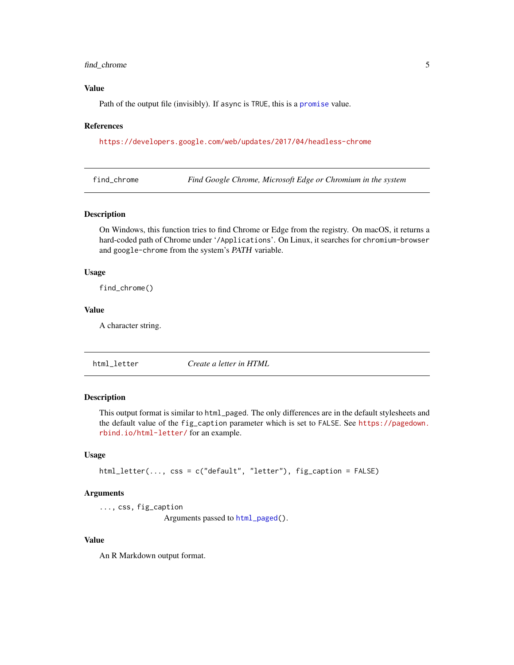### <span id="page-4-0"></span>find\_chrome 5

# Value

Path of the output file (invisibly). If async is TRUE, this is a [promise](#page-0-0) value.

#### References

<https://developers.google.com/web/updates/2017/04/headless-chrome>

<span id="page-4-1"></span>find\_chrome *Find Google Chrome, Microsoft Edge or Chromium in the system*

#### Description

On Windows, this function tries to find Chrome or Edge from the registry. On macOS, it returns a hard-coded path of Chrome under '/Applications'. On Linux, it searches for chromium-browser and google-chrome from the system's PATH variable.

#### Usage

find\_chrome()

#### Value

A character string.

html\_letter *Create a letter in HTML*

# Description

This output format is similar to html\_paged. The only differences are in the default stylesheets and the default value of the fig\_caption parameter which is set to FALSE. See [https://pagedown.](https://pagedown.rbind.io/html-letter/) [rbind.io/html-letter/](https://pagedown.rbind.io/html-letter/) for an example.

#### Usage

```
html_letter(..., css = c("default", "letter"), fig_caption = FALSE)
```
#### Arguments

..., css, fig\_caption

Arguments passed to [html\\_paged\(](#page-5-1)).

#### Value

An R Markdown output format.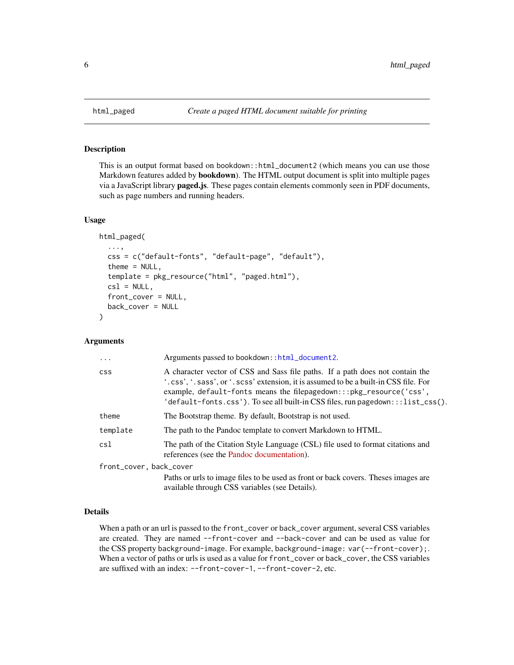# Description

This is an output format based on bookdown::html\_document2 (which means you can use those Markdown features added by bookdown). The HTML output document is split into multiple pages via a JavaScript library paged.js. These pages contain elements commonly seen in PDF documents, such as page numbers and running headers.

#### Usage

```
html_paged(
  ...,
  css = c("default-fonts", "default-page", "default"),
  theme = NULL,
  template = pkg_resource("html", "paged.html"),
  cs1 = NULL,front_cover = NULL,
  back_cover = NULL
)
```
# Arguments

| $\cdot$                 | Arguments passed to bookdown::html_document2.                                                                                                                                                                                                                                                                                  |
|-------------------------|--------------------------------------------------------------------------------------------------------------------------------------------------------------------------------------------------------------------------------------------------------------------------------------------------------------------------------|
| <b>CSS</b>              | A character vector of CSS and Sass file paths. If a path does not contain the<br>'.css', '.sass', or '.scss' extension, it is assumed to be a built-in CSS file. For<br>example, default-fonts means the filepagedown:::pkg_resource('css',<br>'default-fonts.css'). To see all built-in CSS files, run pagedown:::list_css(). |
| theme                   | The Bootstrap theme. By default, Bootstrap is not used.                                                                                                                                                                                                                                                                        |
| template                | The path to the Pandoc template to convert Markdown to HTML.                                                                                                                                                                                                                                                                   |
| csl                     | The path of the Citation Style Language (CSL) file used to format citations and<br>references (see the Pandoc documentation).                                                                                                                                                                                                  |
| front_cover, back_cover |                                                                                                                                                                                                                                                                                                                                |
|                         | Paths or urls to image files to be used as front or back covers. Theses images are<br>available through CSS variables (see Details).                                                                                                                                                                                           |

# Details

When a path or an url is passed to the front\_cover or back\_cover argument, several CSS variables are created. They are named --front-cover and --back-cover and can be used as value for the CSS property background-image. For example, background-image: var(--front-cover);. When a vector of paths or urls is used as a value for front\_cover or back\_cover, the CSS variables are suffixed with an index: --front-cover-1, --front-cover-2, etc.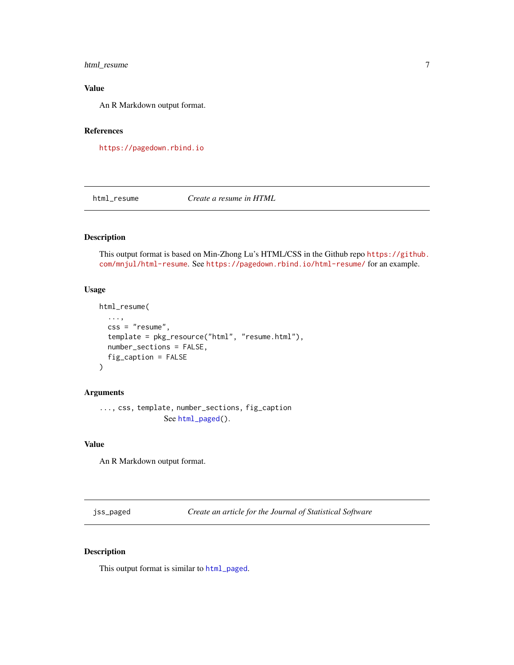# <span id="page-6-0"></span>html\_resume 7

# Value

An R Markdown output format.

# References

<https://pagedown.rbind.io>

html\_resume *Create a resume in HTML*

# Description

This output format is based on Min-Zhong Lu's HTML/CSS in the Github repo [https://github.](https://github.com/mnjul/html-resume) [com/mnjul/html-resume](https://github.com/mnjul/html-resume). See <https://pagedown.rbind.io/html-resume/> for an example.

#### Usage

```
html_resume(
  ...,
  css = "resume",
  template = pkg_resource("html", "resume.html"),
  number_sections = FALSE,
  fig_caption = FALSE
)
```
# Arguments

```
..., css, template, number_sections, fig_caption
                See html_paged().
```
# Value

An R Markdown output format.

jss\_paged *Create an article for the Journal of Statistical Software*

#### Description

This output format is similar to [html\\_paged](#page-5-1).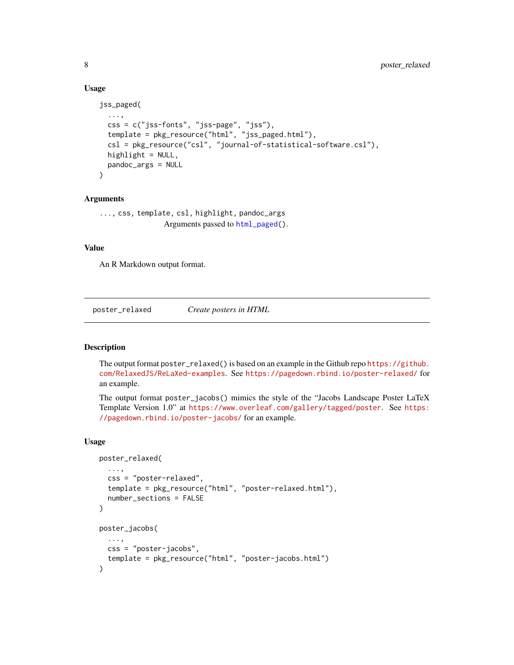# Usage

```
jss_paged(
  ...,
 css = c("jss-fonts", "jss-page", "jss"),
  template = pkg_resource("html", "jss_paged.html"),
 csl = pkg_resource("csl", "journal-of-statistical-software.csl"),
 highlight = NULL,
 pandoc_args = NULL
\lambda
```
#### Arguments

```
..., css, template, csl, highlight, pandoc_args
                Arguments passed to html_paged().
```
#### Value

An R Markdown output format.

poster\_relaxed *Create posters in HTML*

#### Description

The output format poster\_relaxed() is based on an example in the Github repo [https://github.](https://github.com/RelaxedJS/ReLaXed-examples) [com/RelaxedJS/ReLaXed-examples](https://github.com/RelaxedJS/ReLaXed-examples). See <https://pagedown.rbind.io/poster-relaxed/> for an example.

The output format poster\_jacobs() mimics the style of the "Jacobs Landscape Poster LaTeX Template Version 1.0" at <https://www.overleaf.com/gallery/tagged/poster>. See [https:](https://pagedown.rbind.io/poster-jacobs/) [//pagedown.rbind.io/poster-jacobs/](https://pagedown.rbind.io/poster-jacobs/) for an example.

#### Usage

```
poster_relaxed(
  ...,
  css = "poster-relaxed",
  template = pkg_resource("html", "poster-relaxed.html"),
  number_sections = FALSE
\mathcal{L}poster_jacobs(
  ...,
 css = "poster-jacobs",
  template = pkg_resource("html", "poster-jacobs.html")
)
```
<span id="page-7-0"></span>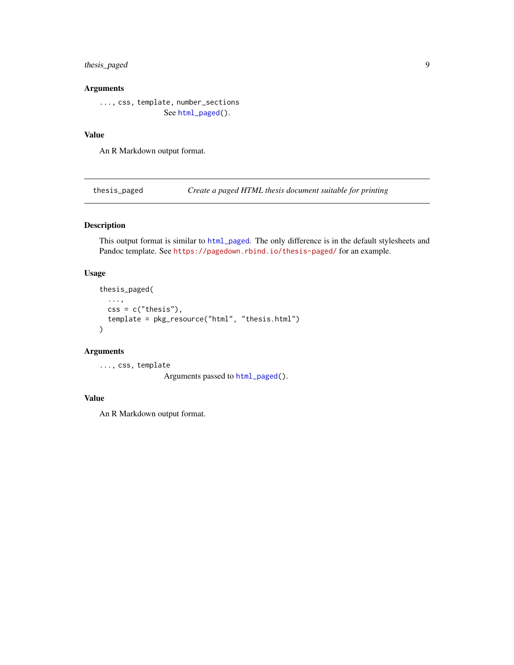# <span id="page-8-0"></span>thesis\_paged 9

# Arguments

..., css, template, [number\\_sect](#page-5-1)ions See html\_paged().

#### Value

An R Markdown output format.

thesis\_paged *Create a paged HTML thesis document suitable for printing*

# Description

This output format is similar to [html\\_paged](#page-5-1). The only difference is in the default stylesheets and Pandoc template. See <https://pagedown.rbind.io/thesis-paged/> for an example.

# Usage

```
thesis_paged(
  ...,
  \text{css} = \text{c("thesis"),}template = pkg_resource("html", "thesis.html")
)
```
# Arguments

..., css, template Arguments passed to [html\\_paged\(](#page-5-1)).

# Value

An R Markdown output format.